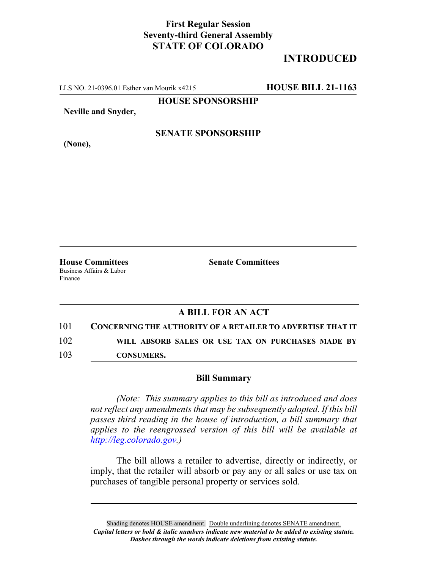## **First Regular Session Seventy-third General Assembly STATE OF COLORADO**

# **INTRODUCED**

LLS NO. 21-0396.01 Esther van Mourik x4215 **HOUSE BILL 21-1163**

**HOUSE SPONSORSHIP**

**Neville and Snyder,**

**(None),**

### **SENATE SPONSORSHIP**

Business Affairs & Labor Finance

**House Committees Senate Committees**

#### **A BILL FOR AN ACT**

101 **CONCERNING THE AUTHORITY OF A RETAILER TO ADVERTISE THAT IT** 102 **WILL ABSORB SALES OR USE TAX ON PURCHASES MADE BY**

103 **CONSUMERS.**

#### **Bill Summary**

*(Note: This summary applies to this bill as introduced and does not reflect any amendments that may be subsequently adopted. If this bill passes third reading in the house of introduction, a bill summary that applies to the reengrossed version of this bill will be available at http://leg.colorado.gov.)*

The bill allows a retailer to advertise, directly or indirectly, or imply, that the retailer will absorb or pay any or all sales or use tax on purchases of tangible personal property or services sold.

Shading denotes HOUSE amendment. Double underlining denotes SENATE amendment. *Capital letters or bold & italic numbers indicate new material to be added to existing statute. Dashes through the words indicate deletions from existing statute.*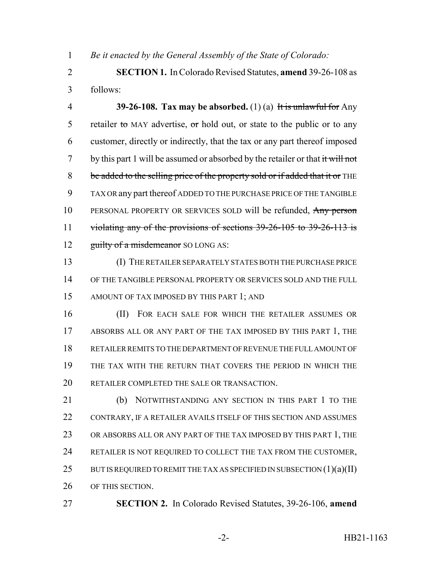*Be it enacted by the General Assembly of the State of Colorado:*

 **SECTION 1.** In Colorado Revised Statutes, **amend** 39-26-108 as follows:

 **39-26-108. Tax may be absorbed.** (1) (a) It is unlawful for Any 5 retailer to MAY advertise, or hold out, or state to the public or to any customer, directly or indirectly, that the tax or any part thereof imposed 7 by this part 1 will be assumed or absorbed by the retailer or that  $\frac{d}{dt}$  will not 8 be added to the selling price of the property sold or if added that it or THE TAX OR any part thereof ADDED TO THE PURCHASE PRICE OF THE TANGIBLE 10 PERSONAL PROPERTY OR SERVICES SOLD will be refunded, Any person 11 violating any of the provisions of sections 39-26-105 to 39-26-113 is 12 guilty of a misdemeanor SO LONG AS:

 (I) THE RETAILER SEPARATELY STATES BOTH THE PURCHASE PRICE OF THE TANGIBLE PERSONAL PROPERTY OR SERVICES SOLD AND THE FULL AMOUNT OF TAX IMPOSED BY THIS PART 1; AND

 (II) FOR EACH SALE FOR WHICH THE RETAILER ASSUMES OR ABSORBS ALL OR ANY PART OF THE TAX IMPOSED BY THIS PART 1, THE RETAILER REMITS TO THE DEPARTMENT OF REVENUE THE FULL AMOUNT OF THE TAX WITH THE RETURN THAT COVERS THE PERIOD IN WHICH THE RETAILER COMPLETED THE SALE OR TRANSACTION.

21 (b) NOTWITHSTANDING ANY SECTION IN THIS PART 1 TO THE 22 CONTRARY, IF A RETAILER AVAILS ITSELF OF THIS SECTION AND ASSUMES 23 OR ABSORBS ALL OR ANY PART OF THE TAX IMPOSED BY THIS PART 1, THE RETAILER IS NOT REQUIRED TO COLLECT THE TAX FROM THE CUSTOMER, 25 BUT IS REQUIRED TO REMIT THE TAX AS SPECIFIED IN SUBSECTION  $(1)(a)(II)$ OF THIS SECTION.

**SECTION 2.** In Colorado Revised Statutes, 39-26-106, **amend**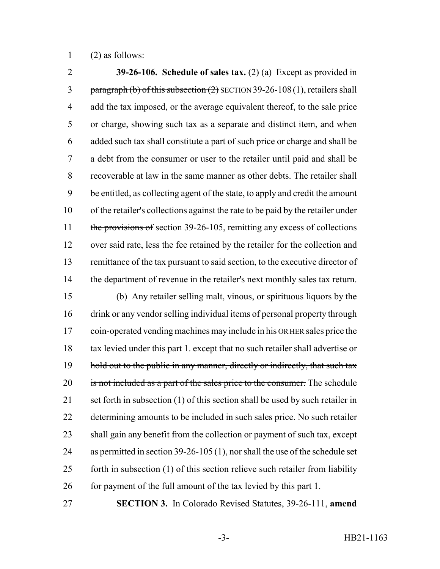(2) as follows:

 **39-26-106. Schedule of sales tax.** (2) (a) Except as provided in 3 paragraph (b) of this subsection  $(2)$  SECTION 39-26-108 (1), retailers shall 4 add the tax imposed, or the average equivalent thereof, to the sale price or charge, showing such tax as a separate and distinct item, and when added such tax shall constitute a part of such price or charge and shall be a debt from the consumer or user to the retailer until paid and shall be recoverable at law in the same manner as other debts. The retailer shall be entitled, as collecting agent of the state, to apply and credit the amount of the retailer's collections against the rate to be paid by the retailer under 11 the provisions of section 39-26-105, remitting any excess of collections over said rate, less the fee retained by the retailer for the collection and remittance of the tax pursuant to said section, to the executive director of the department of revenue in the retailer's next monthly sales tax return. (b) Any retailer selling malt, vinous, or spirituous liquors by the drink or any vendor selling individual items of personal property through 17 coin-operated vending machines may include in his OR HER sales price the 18 tax levied under this part 1. except that no such retailer shall advertise or 19 hold out to the public in any manner, directly or indirectly, that such tax 20 is not included as a part of the sales price to the consumer. The schedule 21 set forth in subsection (1) of this section shall be used by such retailer in determining amounts to be included in such sales price. No such retailer shall gain any benefit from the collection or payment of such tax, except as permitted in section 39-26-105 (1), nor shall the use of the schedule set 25 forth in subsection (1) of this section relieve such retailer from liability 26 for payment of the full amount of the tax levied by this part 1.

**SECTION 3.** In Colorado Revised Statutes, 39-26-111, **amend**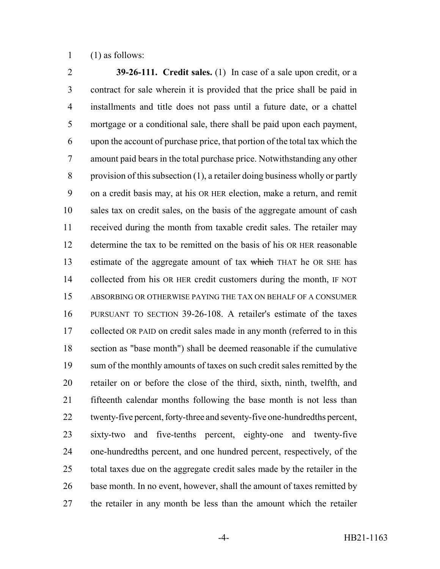(1) as follows:

 **39-26-111. Credit sales.** (1) In case of a sale upon credit, or a contract for sale wherein it is provided that the price shall be paid in installments and title does not pass until a future date, or a chattel mortgage or a conditional sale, there shall be paid upon each payment, upon the account of purchase price, that portion of the total tax which the amount paid bears in the total purchase price. Notwithstanding any other provision of this subsection (1), a retailer doing business wholly or partly on a credit basis may, at his OR HER election, make a return, and remit sales tax on credit sales, on the basis of the aggregate amount of cash received during the month from taxable credit sales. The retailer may determine the tax to be remitted on the basis of his OR HER reasonable 13 estimate of the aggregate amount of tax which THAT he OR SHE has collected from his OR HER credit customers during the month, IF NOT ABSORBING OR OTHERWISE PAYING THE TAX ON BEHALF OF A CONSUMER PURSUANT TO SECTION 39-26-108. A retailer's estimate of the taxes 17 collected OR PAID on credit sales made in any month (referred to in this section as "base month") shall be deemed reasonable if the cumulative 19 sum of the monthly amounts of taxes on such credit sales remitted by the retailer on or before the close of the third, sixth, ninth, twelfth, and fifteenth calendar months following the base month is not less than twenty-five percent, forty-three and seventy-five one-hundredths percent, sixty-two and five-tenths percent, eighty-one and twenty-five one-hundredths percent, and one hundred percent, respectively, of the total taxes due on the aggregate credit sales made by the retailer in the 26 base month. In no event, however, shall the amount of taxes remitted by the retailer in any month be less than the amount which the retailer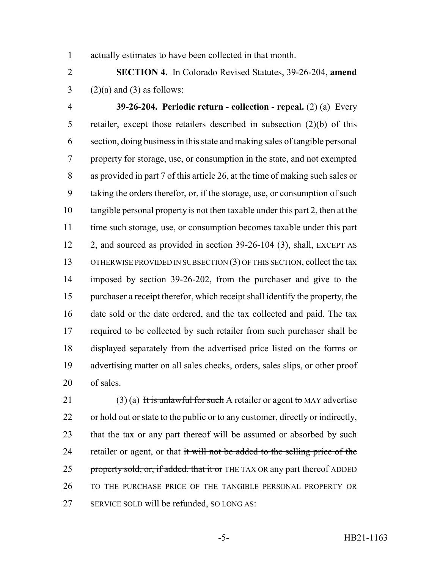actually estimates to have been collected in that month.

 **SECTION 4.** In Colorado Revised Statutes, 39-26-204, **amend**  $3 \qquad (2)(a)$  and  $(3)$  as follows:

 **39-26-204. Periodic return - collection - repeal.** (2) (a) Every retailer, except those retailers described in subsection (2)(b) of this section, doing business in this state and making sales of tangible personal property for storage, use, or consumption in the state, and not exempted as provided in part 7 of this article 26, at the time of making such sales or taking the orders therefor, or, if the storage, use, or consumption of such tangible personal property is not then taxable under this part 2, then at the time such storage, use, or consumption becomes taxable under this part 2, and sourced as provided in section 39-26-104 (3), shall, EXCEPT AS 13 OTHERWISE PROVIDED IN SUBSECTION (3) OF THIS SECTION, collect the tax imposed by section 39-26-202, from the purchaser and give to the purchaser a receipt therefor, which receipt shall identify the property, the date sold or the date ordered, and the tax collected and paid. The tax 17 required to be collected by such retailer from such purchaser shall be displayed separately from the advertised price listed on the forms or advertising matter on all sales checks, orders, sales slips, or other proof of sales.

21 (3) (a) It is unlawful for such A retailer or agent to MAY advertise or hold out or state to the public or to any customer, directly or indirectly, that the tax or any part thereof will be assumed or absorbed by such 24 retailer or agent, or that it will not be added to the selling price of the 25 property sold, or, if added, that it or THE TAX OR any part thereof ADDED TO THE PURCHASE PRICE OF THE TANGIBLE PERSONAL PROPERTY OR SERVICE SOLD will be refunded, SO LONG AS: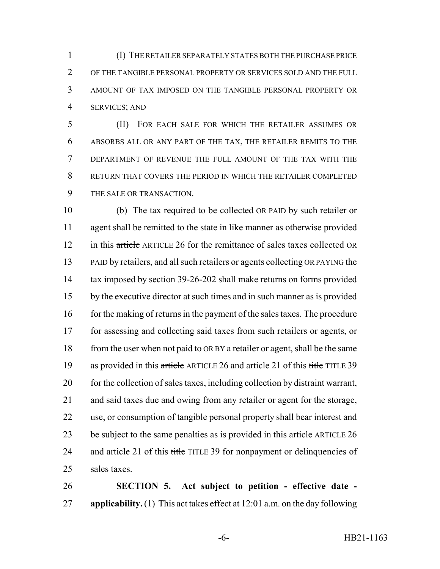(I) THE RETAILER SEPARATELY STATES BOTH THE PURCHASE PRICE OF THE TANGIBLE PERSONAL PROPERTY OR SERVICES SOLD AND THE FULL AMOUNT OF TAX IMPOSED ON THE TANGIBLE PERSONAL PROPERTY OR SERVICES; AND

 (II) FOR EACH SALE FOR WHICH THE RETAILER ASSUMES OR ABSORBS ALL OR ANY PART OF THE TAX, THE RETAILER REMITS TO THE DEPARTMENT OF REVENUE THE FULL AMOUNT OF THE TAX WITH THE RETURN THAT COVERS THE PERIOD IN WHICH THE RETAILER COMPLETED THE SALE OR TRANSACTION.

 (b) The tax required to be collected OR PAID by such retailer or agent shall be remitted to the state in like manner as otherwise provided 12 in this article ARTICLE 26 for the remittance of sales taxes collected OR 13 PAID by retailers, and all such retailers or agents collecting OR PAYING the tax imposed by section 39-26-202 shall make returns on forms provided by the executive director at such times and in such manner as is provided 16 for the making of returns in the payment of the sales taxes. The procedure for assessing and collecting said taxes from such retailers or agents, or 18 from the user when not paid to OR BY a retailer or agent, shall be the same 19 as provided in this article ARTICLE 26 and article 21 of this title TITLE 39 20 for the collection of sales taxes, including collection by distraint warrant, and said taxes due and owing from any retailer or agent for the storage, use, or consumption of tangible personal property shall bear interest and 23 be subject to the same penalties as is provided in this article ARTICLE 26 24 and article 21 of this title TITLE 39 for nonpayment or delinquencies of sales taxes.

 **SECTION 5. Act subject to petition - effective date - applicability.** (1) This act takes effect at 12:01 a.m. on the day following